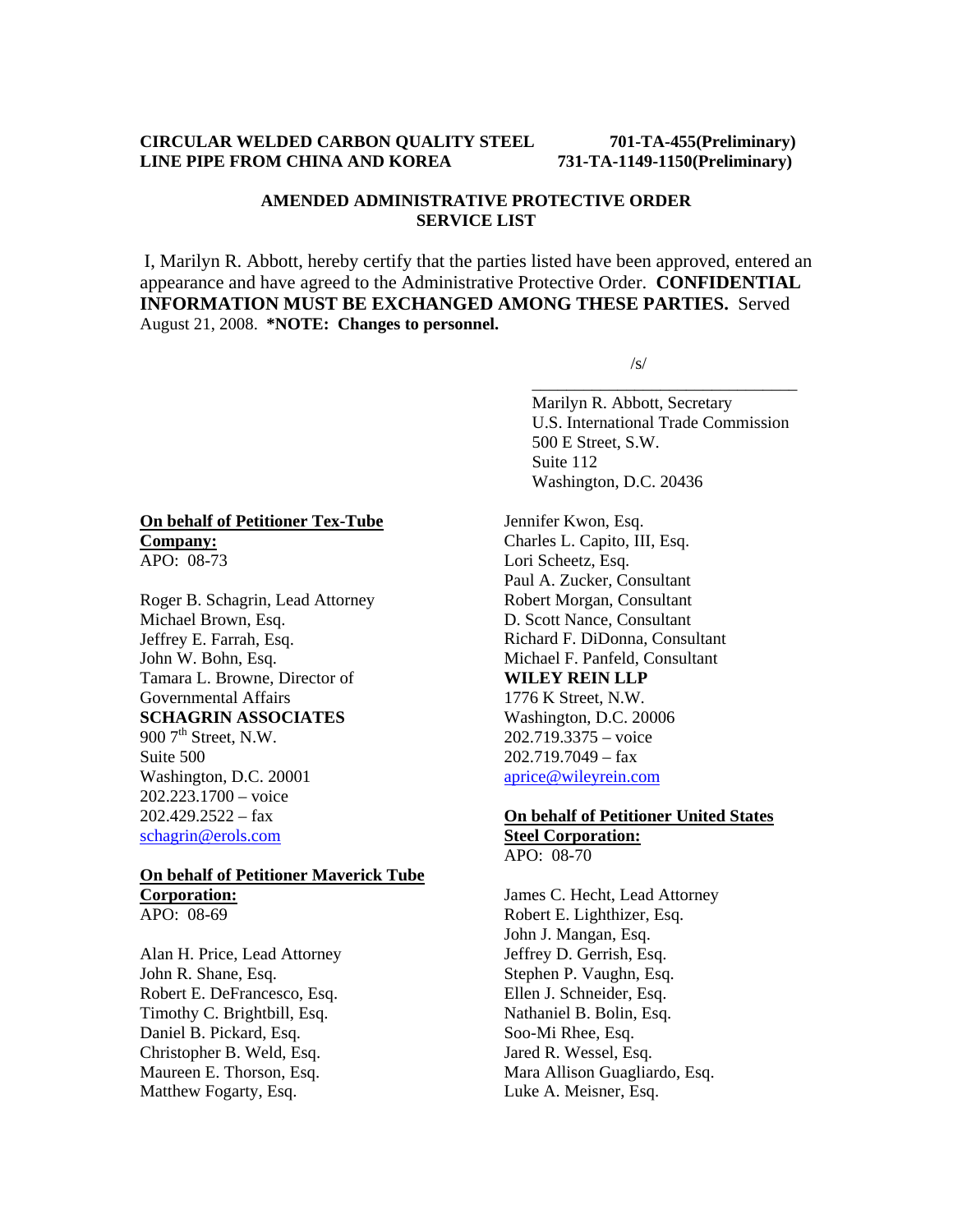## **CIRCULAR WELDED CARBON QUALITY STEEL 701-TA-455(Preliminary) LINE PIPE FROM CHINA AND KOREA 731-TA-1149-1150(Preliminary)**

# **AMENDED ADMINISTRATIVE PROTECTIVE ORDER SERVICE LIST**

I, Marilyn R. Abbott, hereby certify that the parties listed have been approved, entered an appearance and have agreed to the Administrative Protective Order. **CONFIDENTIAL INFORMATION MUST BE EXCHANGED AMONG THESE PARTIES.** Served August 21, 2008. **\*NOTE: Changes to personnel.**

 $\overline{\phantom{a}}$  , and the contract of the contract of the contract of the contract of the contract of the contract of the contract of the contract of the contract of the contract of the contract of the contract of the contrac

 $\sqrt{s}$ /s/

 Marilyn R. Abbott, Secretary U.S. International Trade Commission 500 E Street, S.W. Suite 112 Washington, D.C. 20436

Jennifer Kwon, Esq. Charles L. Capito, III, Esq. Lori Scheetz, Esq. Paul A. Zucker, Consultant Robert Morgan, Consultant D. Scott Nance, Consultant Richard F. DiDonna, Consultant Michael F. Panfeld, Consultant **WILEY REIN LLP** 1776 K Street, N.W. Washington, D.C. 20006 202.719.3375 – voice 202.719.7049 – fax aprice@wileyrein.com

# **On behalf of Petitioner United States Steel Corporation:**

APO: 08-70 James C. Hecht, Lead Attorney Robert E. Lighthizer, Esq.

John J. Mangan, Esq. Jeffrey D. Gerrish, Esq. Stephen P. Vaughn, Esq. Ellen J. Schneider, Esq. Nathaniel B. Bolin, Esq. Soo-Mi Rhee, Esq. Jared R. Wessel, Esq. Mara Allison Guagliardo, Esq. Luke A. Meisner, Esq.

# **On behalf of Petitioner Tex-Tube Company:**

APO: 08-73

Roger B. Schagrin, Lead Attorney Michael Brown, Esq. Jeffrey E. Farrah, Esq. John W. Bohn, Esq. Tamara L. Browne, Director of Governmental Affairs **SCHAGRIN ASSOCIATES**  900  $7<sup>th</sup>$  Street, N.W. Suite 500 Washington, D.C. 20001 202.223.1700 – voice  $202.429.2522 - fax$ schagrin@erols.com

# **On behalf of Petitioner Maverick Tube Corporation:**

APO: 08-69

Alan H. Price, Lead Attorney John R. Shane, Esq. Robert E. DeFrancesco, Esq. Timothy C. Brightbill, Esq. Daniel B. Pickard, Esq. Christopher B. Weld, Esq. Maureen E. Thorson, Esq. Matthew Fogarty, Esq.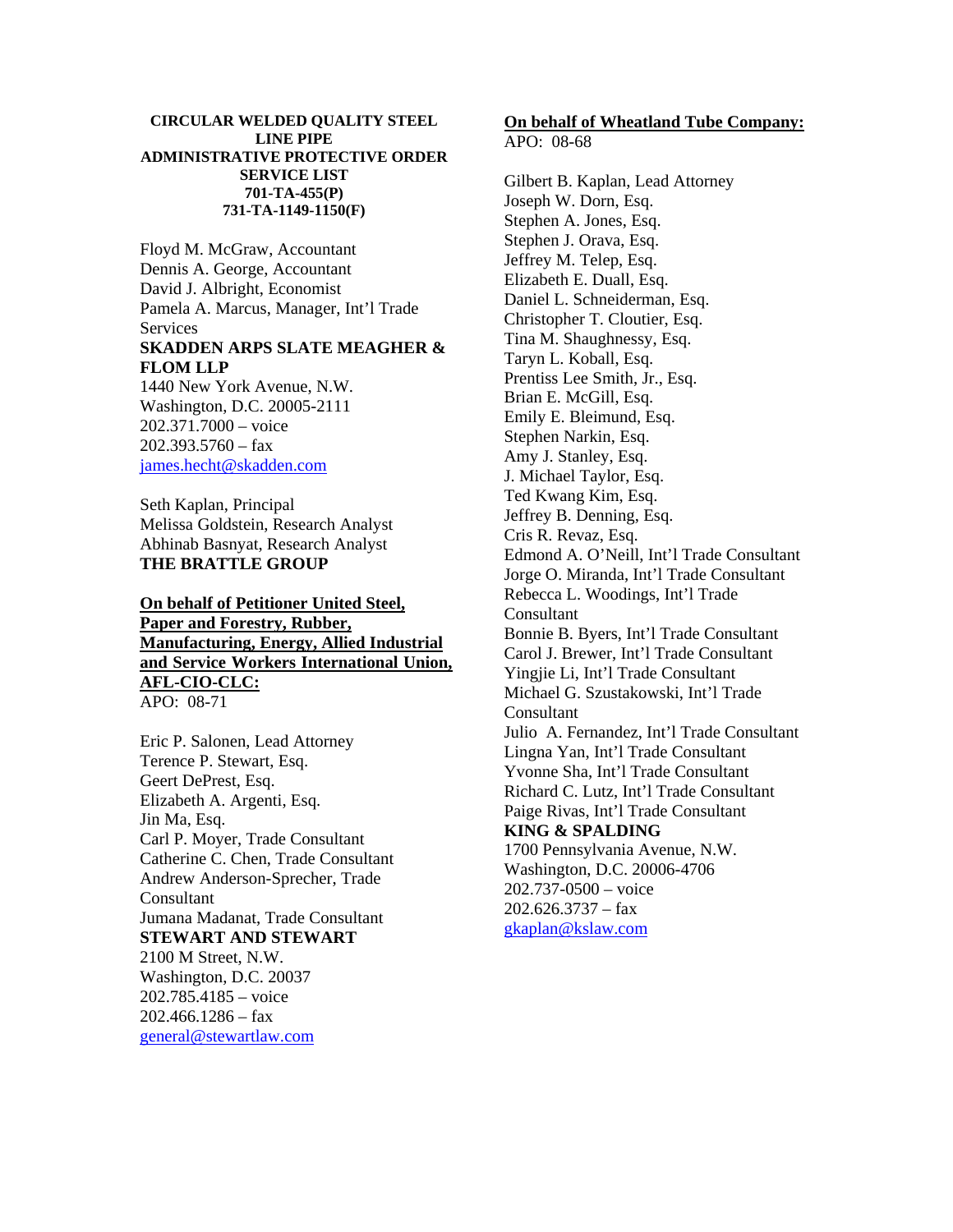#### **CIRCULAR WELDED QUALITY STEEL LINE PIPE ADMINISTRATIVE PROTECTIVE ORDER SERVICE LIST 701-TA-455(P) 731-TA-1149-1150(F)**

Floyd M. McGraw, Accountant Dennis A. George, Accountant David J. Albright, Economist Pamela A. Marcus, Manager, Int'l Trade Services **SKADDEN ARPS SLATE MEAGHER & FLOM LLP** 1440 New York Avenue, N.W.

Washington, D.C. 20005-2111 202.371.7000 – voice  $202.393.5760 - fax$ james.hecht@skadden.com

Seth Kaplan, Principal Melissa Goldstein, Research Analyst Abhinab Basnyat, Research Analyst **THE BRATTLE GROUP** 

## **On behalf of Petitioner United Steel, Paper and Forestry, Rubber, Manufacturing, Energy, Allied Industrial and Service Workers International Union, AFL-CIO-CLC:** APO: 08-71

Eric P. Salonen, Lead Attorney Terence P. Stewart, Esq. Geert DePrest, Esq. Elizabeth A. Argenti, Esq. Jin Ma, Esq. Carl P. Moyer, Trade Consultant Catherine C. Chen, Trade Consultant Andrew Anderson-Sprecher, Trade Consultant Jumana Madanat, Trade Consultant **STEWART AND STEWART** 2100 M Street, N.W. Washington, D.C. 20037 202.785.4185 – voice  $202.466.1286 - fax$ general@stewartlaw.com

# **On behalf of Wheatland Tube Company:**

 $APO: 08-68$ 

Gilbert B. Kaplan, Lead Attorney Joseph W. Dorn, Esq. Stephen A. Jones, Esq. Stephen J. Orava, Esq. Jeffrey M. Telep, Esq. Elizabeth E. Duall, Esq. Daniel L. Schneiderman, Esq. Christopher T. Cloutier, Esq. Tina M. Shaughnessy, Esq. Taryn L. Koball, Esq. Prentiss Lee Smith, Jr., Esq. Brian E. McGill, Esq. Emily E. Bleimund, Esq. Stephen Narkin, Esq. Amy J. Stanley, Esq. J. Michael Taylor, Esq. Ted Kwang Kim, Esq. Jeffrey B. Denning, Esq. Cris R. Revaz, Esq. Edmond A. O'Neill, Int'l Trade Consultant Jorge O. Miranda, Int'l Trade Consultant Rebecca L. Woodings, Int'l Trade Consultant Bonnie B. Byers, Int'l Trade Consultant Carol J. Brewer, Int'l Trade Consultant Yingjie Li, Int'l Trade Consultant Michael G. Szustakowski, Int'l Trade **Consultant** Julio A. Fernandez, Int'l Trade Consultant Lingna Yan, Int'l Trade Consultant Yvonne Sha, Int'l Trade Consultant Richard C. Lutz, Int'l Trade Consultant Paige Rivas, Int'l Trade Consultant **KING & SPALDING** 1700 Pennsylvania Avenue, N.W. Washington, D.C. 20006-4706 202.737-0500 – voice  $202.626.3737 - fax$ 

gkaplan@kslaw.com